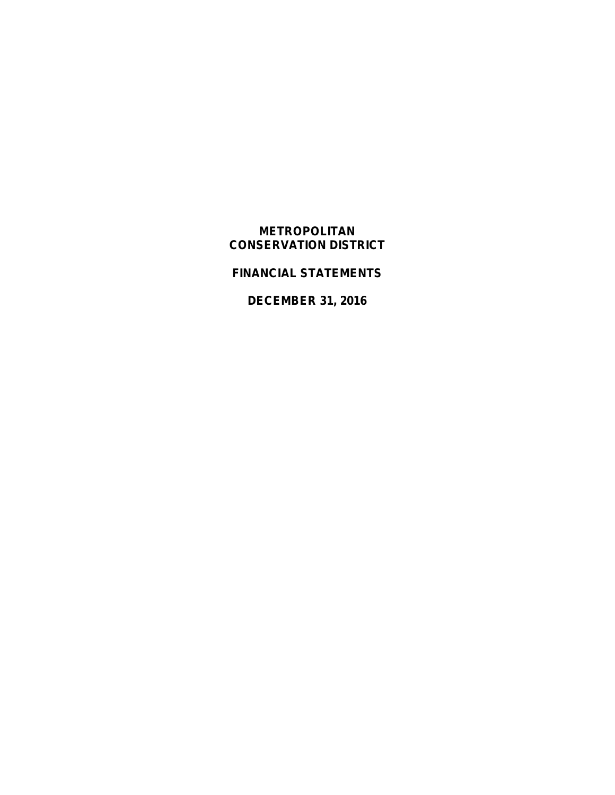## **METROPOLITAN CONSERVATION DISTRICT**

# **FINANCIAL STATEMENTS**

**DECEMBER 31, 2016**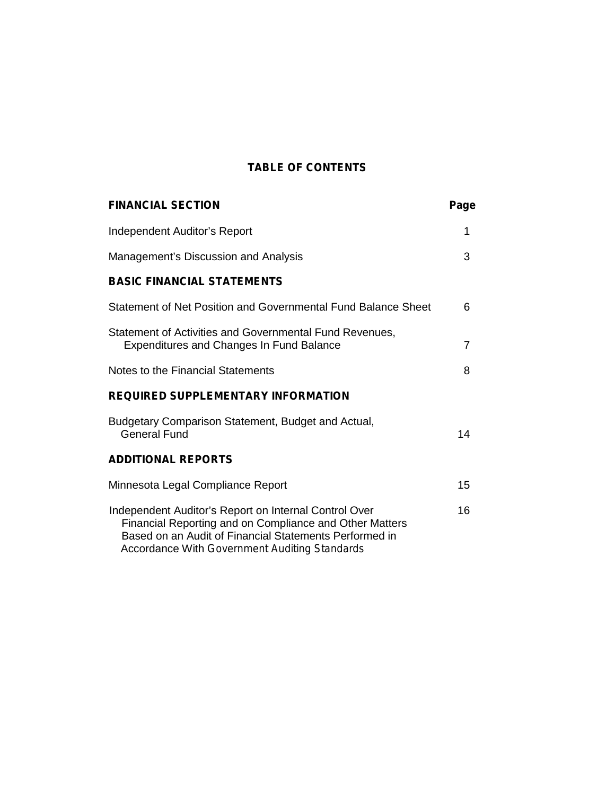## **TABLE OF CONTENTS**

| <b>FINANCIAL SECTION</b>                                                                                                                                                                                                    | Page |
|-----------------------------------------------------------------------------------------------------------------------------------------------------------------------------------------------------------------------------|------|
| Independent Auditor's Report                                                                                                                                                                                                | 1    |
| Management's Discussion and Analysis                                                                                                                                                                                        | 3    |
| <b>BASIC FINANCIAL STATEMENTS</b>                                                                                                                                                                                           |      |
| Statement of Net Position and Governmental Fund Balance Sheet                                                                                                                                                               | 6    |
| Statement of Activities and Governmental Fund Revenues,<br><b>Expenditures and Changes In Fund Balance</b>                                                                                                                  | 7    |
| Notes to the Financial Statements                                                                                                                                                                                           | 8    |
| <b>REQUIRED SUPPLEMENTARY INFORMATION</b>                                                                                                                                                                                   |      |
| Budgetary Comparison Statement, Budget and Actual,<br><b>General Fund</b>                                                                                                                                                   | 14   |
| <b>ADDITIONAL REPORTS</b>                                                                                                                                                                                                   |      |
| Minnesota Legal Compliance Report                                                                                                                                                                                           | 15   |
| Independent Auditor's Report on Internal Control Over<br>Financial Reporting and on Compliance and Other Matters<br>Based on an Audit of Financial Statements Performed in<br>Accordance With Government Auditing Standards | 16   |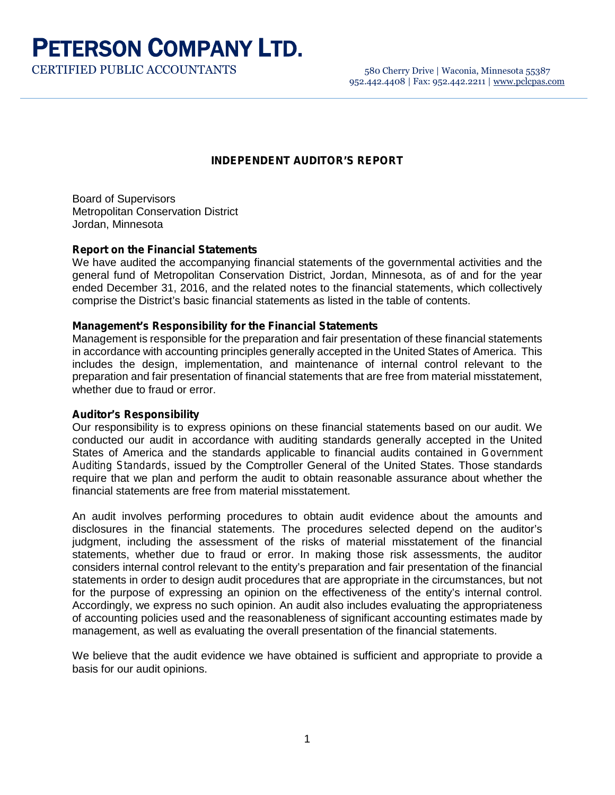# **PETERSON COMPANY LTD.**

## **INDEPENDENT AUDITOR'S REPORT**

Board of Supervisors Metropolitan Conservation District Jordan, Minnesota

## **Report on the Financial Statements**

We have audited the accompanying financial statements of the governmental activities and the general fund of Metropolitan Conservation District, Jordan, Minnesota, as of and for the year ended December 31, 2016, and the related notes to the financial statements, which collectively comprise the District's basic financial statements as listed in the table of contents.

## *Management's Responsibility* **for the Financial Statements**

Management is responsible for the preparation and fair presentation of these financial statements in accordance with accounting principles generally accepted in the United States of America. This includes the design, implementation, and maintenance of internal control relevant to the preparation and fair presentation of financial statements that are free from material misstatement, whether due to fraud or error.

## *Auditor's Responsibility*

Our responsibility is to express opinions on these financial statements based on our audit. We conducted our audit in accordance with auditing standards generally accepted in the United States of America and the standards applicable to financial audits contained in *Government Auditing Standards*, issued by the Comptroller General of the United States. Those standards require that we plan and perform the audit to obtain reasonable assurance about whether the financial statements are free from material misstatement.

An audit involves performing procedures to obtain audit evidence about the amounts and disclosures in the financial statements. The procedures selected depend on the auditor's judgment, including the assessment of the risks of material misstatement of the financial statements, whether due to fraud or error. In making those risk assessments, the auditor considers internal control relevant to the entity's preparation and fair presentation of the financial statements in order to design audit procedures that are appropriate in the circumstances, but not for the purpose of expressing an opinion on the effectiveness of the entity's internal control. Accordingly, we express no such opinion. An audit also includes evaluating the appropriateness of accounting policies used and the reasonableness of significant accounting estimates made by management, as well as evaluating the overall presentation of the financial statements.

We believe that the audit evidence we have obtained is sufficient and appropriate to provide a basis for our audit opinions.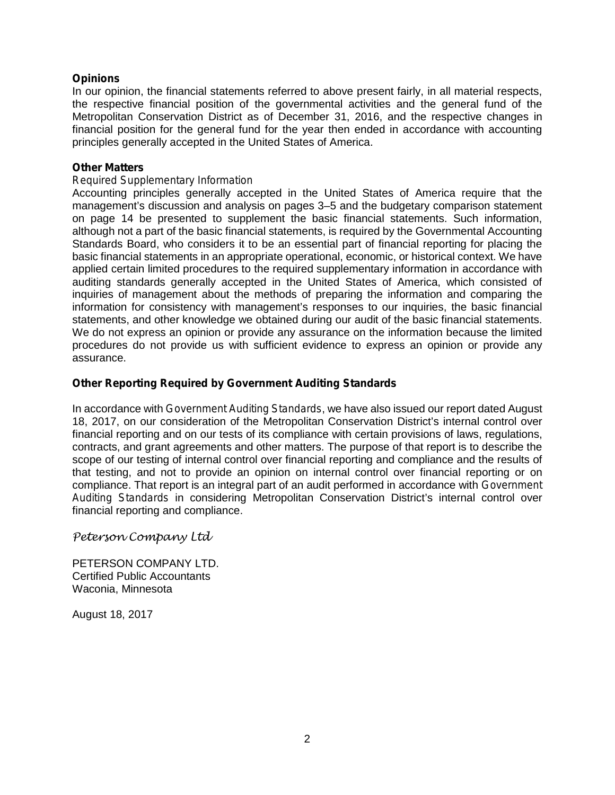## *Opinions*

In our opinion, the financial statements referred to above present fairly, in all material respects, the respective financial position of the governmental activities and the general fund of the Metropolitan Conservation District as of December 31, 2016, and the respective changes in financial position for the general fund for the year then ended in accordance with accounting principles generally accepted in the United States of America.

## *Other Matters*

#### *Required Supplementary Information*

Accounting principles generally accepted in the United States of America require that the management's discussion and analysis on pages 3–5 and the budgetary comparison statement on page 14 be presented to supplement the basic financial statements. Such information, although not a part of the basic financial statements, is required by the Governmental Accounting Standards Board, who considers it to be an essential part of financial reporting for placing the basic financial statements in an appropriate operational, economic, or historical context. We have applied certain limited procedures to the required supplementary information in accordance with auditing standards generally accepted in the United States of America, which consisted of inquiries of management about the methods of preparing the information and comparing the information for consistency with management's responses to our inquiries, the basic financial statements, and other knowledge we obtained during our audit of the basic financial statements. We do not express an opinion or provide any assurance on the information because the limited procedures do not provide us with sufficient evidence to express an opinion or provide any assurance.

## **Other Reporting Required by Government Auditing Standards**

In accordance with *Government Auditing Standards*, we have also issued our report dated August 18, 2017, on our consideration of the Metropolitan Conservation District's internal control over financial reporting and on our tests of its compliance with certain provisions of laws, regulations, contracts, and grant agreements and other matters. The purpose of that report is to describe the scope of our testing of internal control over financial reporting and compliance and the results of that testing, and not to provide an opinion on internal control over financial reporting or on compliance. That report is an integral part of an audit performed in accordance with *Government Auditing Standards* in considering Metropolitan Conservation District's internal control over financial reporting and compliance.

Peterson Company Ltd

PETERSON COMPANY LTD. Certified Public Accountants Waconia, Minnesota

August 18, 2017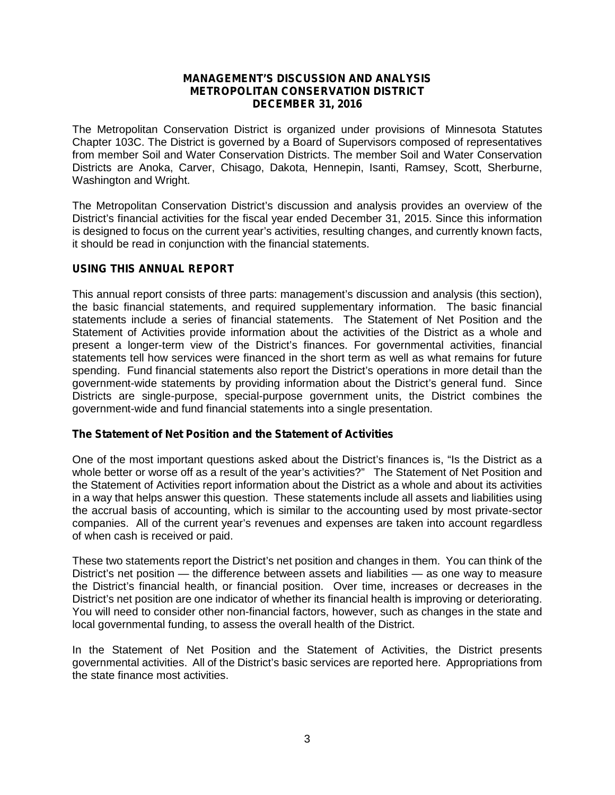## **MANAGEMENT'S DISCUSSION AND ANALYSIS METROPOLITAN CONSERVATION DISTRICT DECEMBER 31, 2016**

The Metropolitan Conservation District is organized under provisions of Minnesota Statutes Chapter 103C. The District is governed by a Board of Supervisors composed of representatives from member Soil and Water Conservation Districts. The member Soil and Water Conservation Districts are Anoka, Carver, Chisago, Dakota, Hennepin, Isanti, Ramsey, Scott, Sherburne, Washington and Wright.

The Metropolitan Conservation District's discussion and analysis provides an overview of the District's financial activities for the fiscal year ended December 31, 2015. Since this information is designed to focus on the current year's activities, resulting changes, and currently known facts, it should be read in conjunction with the financial statements.

## **USING THIS ANNUAL REPORT**

This annual report consists of three parts: management's discussion and analysis (this section), the basic financial statements, and required supplementary information. The basic financial statements include a series of financial statements. The Statement of Net Position and the Statement of Activities provide information about the activities of the District as a whole and present a longer-term view of the District's finances. For governmental activities, financial statements tell how services were financed in the short term as well as what remains for future spending. Fund financial statements also report the District's operations in more detail than the government-wide statements by providing information about the District's general fund. Since Districts are single-purpose, special-purpose government units, the District combines the government-wide and fund financial statements into a single presentation.

## **The Statement of Net Position and the Statement of Activities**

One of the most important questions asked about the District's finances is, "Is the District as a whole better or worse off as a result of the year's activities?" The Statement of Net Position and the Statement of Activities report information about the District as a whole and about its activities in a way that helps answer this question. These statements include all assets and liabilities using the accrual basis of accounting, which is similar to the accounting used by most private-sector companies. All of the current year's revenues and expenses are taken into account regardless of when cash is received or paid.

These two statements report the District's net position and changes in them. You can think of the District's net position — the difference between assets and liabilities — as one way to measure the District's financial health, or financial position. Over time, increases or decreases in the District's net position are one indicator of whether its financial health is improving or deteriorating. You will need to consider other non-financial factors, however, such as changes in the state and local governmental funding, to assess the overall health of the District.

In the Statement of Net Position and the Statement of Activities, the District presents governmental activities. All of the District's basic services are reported here. Appropriations from the state finance most activities.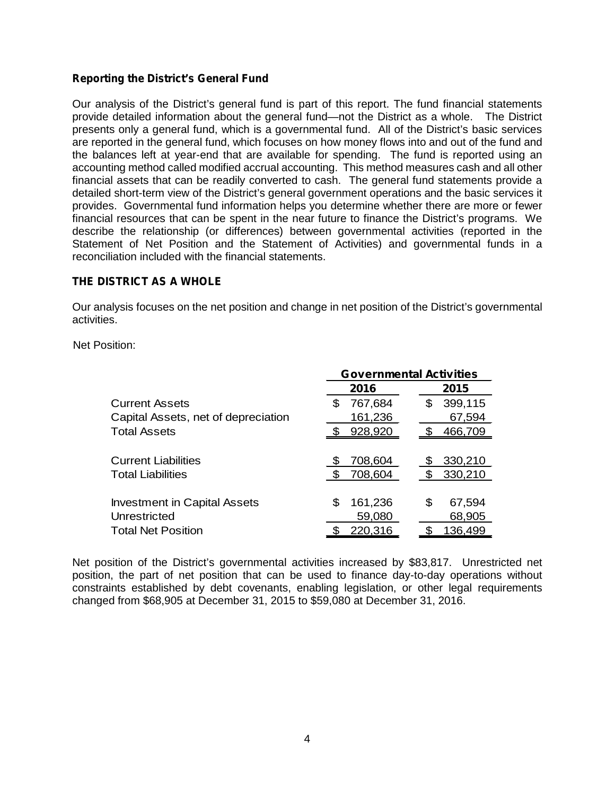## **Reporting the District's General Fund**

Our analysis of the District's general fund is part of this report. The fund financial statements provide detailed information about the general fund—not the District as a whole. The District presents only a general fund, which is a governmental fund. All of the District's basic services are reported in the general fund, which focuses on how money flows into and out of the fund and the balances left at year-end that are available for spending. The fund is reported using an accounting method called modified accrual accounting. This method measures cash and all other financial assets that can be readily converted to cash. The general fund statements provide a detailed short-term view of the District's general government operations and the basic services it provides. Governmental fund information helps you determine whether there are more or fewer financial resources that can be spent in the near future to finance the District's programs. We describe the relationship (or differences) between governmental activities (reported in the Statement of Net Position and the Statement of Activities) and governmental funds in a reconciliation included with the financial statements.

## **THE DISTRICT AS A WHOLE**

Our analysis focuses on the net position and change in net position of the District's governmental activities.

Net Position:

|                                     | <b>Governmental Activities</b> |               |
|-------------------------------------|--------------------------------|---------------|
|                                     | 2016                           | 2015          |
| <b>Current Assets</b>               | 767,684<br>\$                  | 399,115<br>\$ |
| Capital Assets, net of depreciation | 161,236                        | 67,594        |
| <b>Total Assets</b>                 | 928,920                        | 466,709       |
|                                     |                                |               |
| <b>Current Liabilities</b>          | 708,604                        | 330,210       |
| <b>Total Liabilities</b>            | 708,604                        | 330,210       |
|                                     |                                |               |
| <b>Investment in Capital Assets</b> | 161,236<br>S                   | \$<br>67,594  |
| Unrestricted                        | 59,080                         | 68,905        |
| <b>Total Net Position</b>           | 220,316                        | 136,499       |

Net position of the District's governmental activities increased by \$83,817. Unrestricted net position, the part of net position that can be used to finance day-to-day operations without constraints established by debt covenants, enabling legislation, or other legal requirements changed from \$68,905 at December 31, 2015 to \$59,080 at December 31, 2016.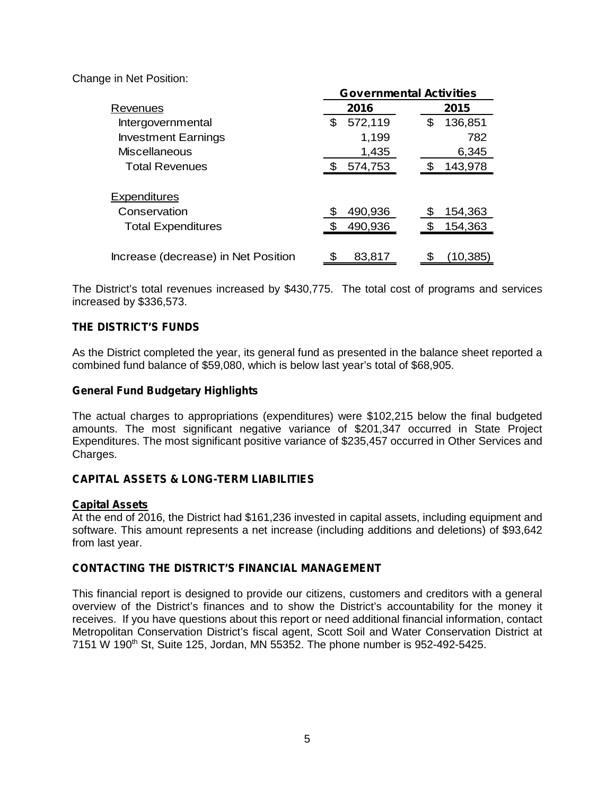Change in Net Position:

|                                     | <b>Governmental Activities</b> |                |  |  |
|-------------------------------------|--------------------------------|----------------|--|--|
| <b>Revenues</b>                     | 2016                           | 2015           |  |  |
| Intergovernmental                   | 572,119<br>S                   | \$<br>136,851  |  |  |
| <b>Investment Earnings</b>          | 1,199                          | 782            |  |  |
| <b>Miscellaneous</b>                | 1,435                          | 6,345          |  |  |
| <b>Total Revenues</b>               | 574,753                        | 143,978        |  |  |
|                                     |                                |                |  |  |
| <b>Expenditures</b>                 |                                |                |  |  |
| Conservation                        | 490,936                        | 154,363<br>\$  |  |  |
| <b>Total Expenditures</b>           | 490,936                        | 154,363        |  |  |
|                                     |                                |                |  |  |
| Increase (decrease) in Net Position | 83,817                         | \$<br>(10,385) |  |  |

The District's total revenues increased by \$430,775. The total cost of programs and services increased by \$336,573.

## **THE DISTRICT'S FUNDS**

As the District completed the year, its general fund as presented in the balance sheet reported a combined fund balance of \$59,080, which is below last year's total of \$68,905.

## **General Fund Budgetary Highlights**

The actual charges to appropriations (expenditures) were \$102,215 below the final budgeted amounts. The most significant negative variance of \$201,347 occurred in State Project Expenditures. The most significant positive variance of \$235,457 occurred in Other Services and Charges.

## **CAPITAL ASSETS & LONG-TERM LIABILITIES**

## **Capital Assets**

At the end of 2016, the District had \$161,236 invested in capital assets, including equipment and software. This amount represents a net increase (including additions and deletions) of \$93,642 from last year.

## **CONTACTING THE DISTRICT'S FINANCIAL MANAGEMENT**

This financial report is designed to provide our citizens, customers and creditors with a general overview of the District's finances and to show the District's accountability for the money it receives. If you have questions about this report or need additional financial information, contact Metropolitan Conservation District's fiscal agent, Scott Soil and Water Conservation District at 7151 W 190<sup>th</sup> St, Suite 125, Jordan, MN 55352. The phone number is 952-492-5425.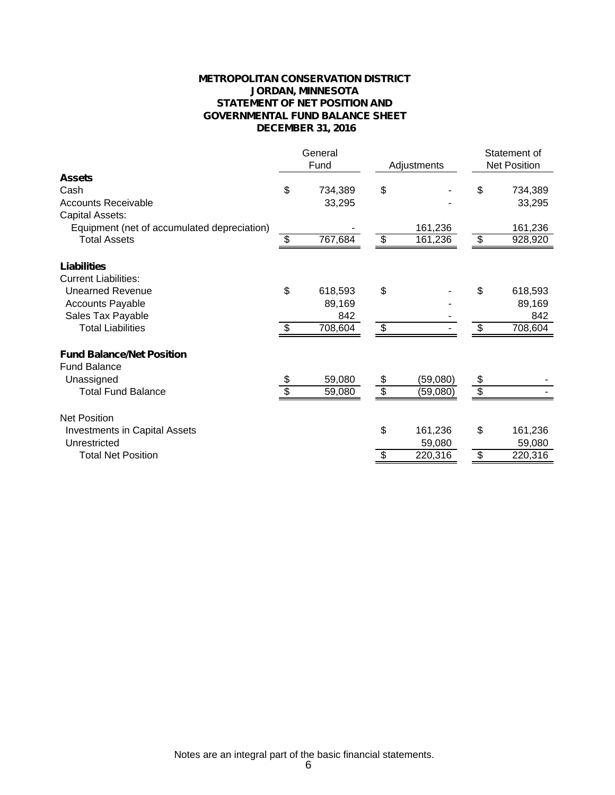## **METROPOLITAN CONSERVATION DISTRICT JORDAN, MINNESOTA STATEMENT OF NET POSITION AND GOVERNMENTAL FUND BALANCE SHEET DECEMBER 31, 2016**

|                                             | General<br>Fund           |         | Adjustments |          | Statement of<br><b>Net Position</b> |
|---------------------------------------------|---------------------------|---------|-------------|----------|-------------------------------------|
| <b>Assets</b>                               |                           |         |             |          |                                     |
| Cash                                        | \$                        | 734,389 | \$          |          | \$<br>734,389                       |
| <b>Accounts Receivable</b>                  |                           | 33,295  |             |          | 33,295                              |
| Capital Assets:                             |                           |         |             |          |                                     |
| Equipment (net of accumulated depreciation) |                           |         |             | 161,236  | 161,236                             |
| <b>Total Assets</b>                         | $\boldsymbol{\mathsf{S}}$ | 767,684 | $\bigoplus$ | 161,236  | \$<br>928,920                       |
| Liabilities                                 |                           |         |             |          |                                     |
| <b>Current Liabilities:</b>                 |                           |         |             |          |                                     |
| <b>Unearned Revenue</b>                     | \$                        | 618,593 | \$          |          | \$<br>618,593                       |
| <b>Accounts Payable</b>                     |                           | 89,169  |             |          | 89,169                              |
| Sales Tax Payable                           |                           | 842     |             |          | 842                                 |
| <b>Total Liabilities</b>                    | \$                        | 708,604 | \$          |          | \$<br>708,604                       |
| <b>Fund Balance/Net Position</b>            |                           |         |             |          |                                     |
| <b>Fund Balance</b>                         |                           |         |             |          |                                     |
| Unassigned                                  | \$                        | 59,080  | \$          | (59,080) | \$                                  |
| <b>Total Fund Balance</b>                   | Ŝ                         | 59,080  | S           | (59,080) | \$                                  |
| <b>Net Position</b>                         |                           |         |             |          |                                     |
| <b>Investments in Capital Assets</b>        |                           |         | \$          | 161,236  | \$<br>161,236                       |
| Unrestricted                                |                           |         |             | 59,080   | 59,080                              |
| <b>Total Net Position</b>                   |                           |         |             | 220,316  | \$<br>220,316                       |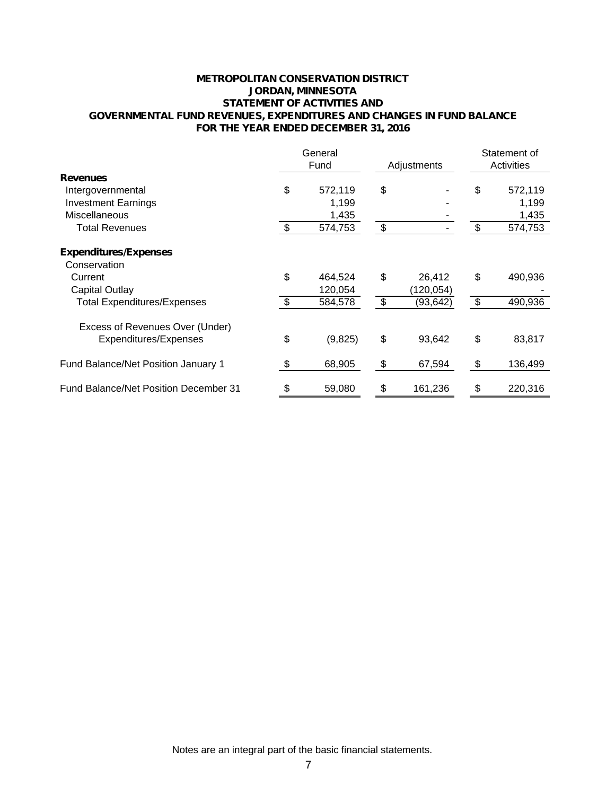## **METROPOLITAN CONSERVATION DISTRICT JORDAN, MINNESOTA STATEMENT OF ACTIVITIES AND GOVERNMENTAL FUND REVENUES, EXPENDITURES AND CHANGES IN FUND BALANCE FOR THE YEAR ENDED DECEMBER 31, 2016**

|                                              | General<br>Fund            |         | Adjustments               |            | Statement of<br>Activities |         |
|----------------------------------------------|----------------------------|---------|---------------------------|------------|----------------------------|---------|
| <b>Revenues</b>                              |                            |         |                           |            |                            |         |
| Intergovernmental                            | \$                         | 572,119 | \$                        |            | \$                         | 572,119 |
| <b>Investment Earnings</b>                   |                            | 1,199   |                           |            |                            | 1,199   |
| <b>Miscellaneous</b>                         |                            | 1,435   |                           |            |                            | 1,435   |
| <b>Total Revenues</b>                        | $\boldsymbol{\mathsf{\$}}$ | 574,753 | \$                        |            | \$                         | 574,753 |
| <b>Expenditures/Expenses</b>                 |                            |         |                           |            |                            |         |
| Conservation                                 |                            |         |                           |            |                            |         |
| Current                                      | \$                         | 464,524 | \$                        | 26,412     | \$                         | 490,936 |
| <b>Capital Outlay</b>                        |                            | 120,054 |                           | (120, 054) |                            |         |
| <b>Total Expenditures/Expenses</b>           | \$                         | 584,578 | $\boldsymbol{\mathsf{S}}$ | (93, 642)  | \$                         | 490,936 |
| Excess of Revenues Over (Under)              |                            |         |                           |            |                            |         |
| Expenditures/Expenses                        | \$                         | (9,825) | \$                        | 93,642     | \$                         | 83,817  |
| Fund Balance/Net Position January 1          | \$                         | 68,905  | \$                        | 67,594     | \$                         | 136,499 |
| <b>Fund Balance/Net Position December 31</b> | \$                         | 59,080  | \$                        | 161,236    | \$                         | 220,316 |

Notes are an integral part of the basic financial statements.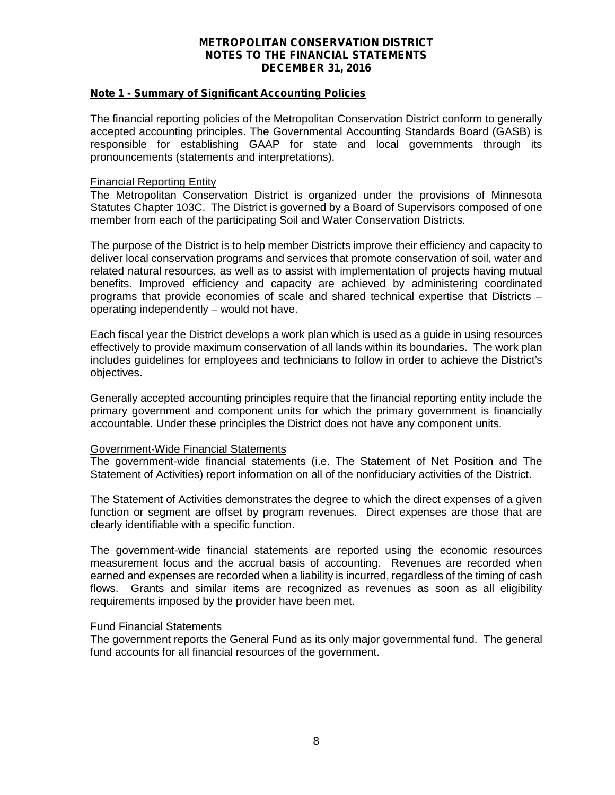## **Note 1 - Summary of Significant Accounting Policies**

The financial reporting policies of the Metropolitan Conservation District conform to generally accepted accounting principles. The Governmental Accounting Standards Board (GASB) is responsible for establishing GAAP for state and local governments through its pronouncements (statements and interpretations).

## Financial Reporting Entity

The Metropolitan Conservation District is organized under the provisions of Minnesota Statutes Chapter 103C. The District is governed by a Board of Supervisors composed of one member from each of the participating Soil and Water Conservation Districts.

The purpose of the District is to help member Districts improve their efficiency and capacity to deliver local conservation programs and services that promote conservation of soil, water and related natural resources, as well as to assist with implementation of projects having mutual benefits. Improved efficiency and capacity are achieved by administering coordinated programs that provide economies of scale and shared technical expertise that Districts – operating independently – would not have.

Each fiscal year the District develops a work plan which is used as a guide in using resources effectively to provide maximum conservation of all lands within its boundaries. The work plan includes guidelines for employees and technicians to follow in order to achieve the District's objectives.

Generally accepted accounting principles require that the financial reporting entity include the primary government and component units for which the primary government is financially accountable. Under these principles the District does not have any component units.

## Government-Wide Financial Statements

The government-wide financial statements (i.e. The Statement of Net Position and The Statement of Activities) report information on all of the nonfiduciary activities of the District.

The Statement of Activities demonstrates the degree to which the direct expenses of a given function or segment are offset by program revenues. Direct expenses are those that are clearly identifiable with a specific function.

The government-wide financial statements are reported using the economic resources measurement focus and the accrual basis of accounting. Revenues are recorded when earned and expenses are recorded when a liability is incurred, regardless of the timing of cash flows. Grants and similar items are recognized as revenues as soon as all eligibility requirements imposed by the provider have been met.

## Fund Financial Statements

The government reports the General Fund as its only major governmental fund. The general fund accounts for all financial resources of the government.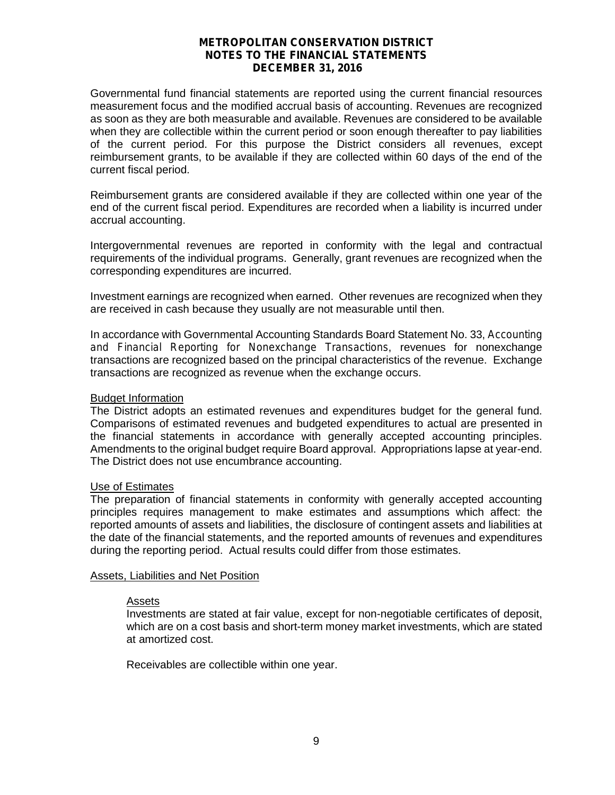Governmental fund financial statements are reported using the current financial resources measurement focus and the modified accrual basis of accounting. Revenues are recognized as soon as they are both measurable and available. Revenues are considered to be available when they are collectible within the current period or soon enough thereafter to pay liabilities of the current period. For this purpose the District considers all revenues, except reimbursement grants, to be available if they are collected within 60 days of the end of the current fiscal period.

Reimbursement grants are considered available if they are collected within one year of the end of the current fiscal period. Expenditures are recorded when a liability is incurred under accrual accounting.

Intergovernmental revenues are reported in conformity with the legal and contractual requirements of the individual programs. Generally, grant revenues are recognized when the corresponding expenditures are incurred.

Investment earnings are recognized when earned. Other revenues are recognized when they are received in cash because they usually are not measurable until then.

In accordance with Governmental Accounting Standards Board Statement No. 33, *Accounting and Financial Reporting for Nonexchange Transactions*, revenues for nonexchange transactions are recognized based on the principal characteristics of the revenue. Exchange transactions are recognized as revenue when the exchange occurs.

#### Budget Information

The District adopts an estimated revenues and expenditures budget for the general fund. Comparisons of estimated revenues and budgeted expenditures to actual are presented in the financial statements in accordance with generally accepted accounting principles. Amendments to the original budget require Board approval. Appropriations lapse at year-end. The District does not use encumbrance accounting.

#### Use of Estimates

The preparation of financial statements in conformity with generally accepted accounting principles requires management to make estimates and assumptions which affect: the reported amounts of assets and liabilities, the disclosure of contingent assets and liabilities at the date of the financial statements, and the reported amounts of revenues and expenditures during the reporting period. Actual results could differ from those estimates.

## Assets, Liabilities and Net Position

## Assets

Investments are stated at fair value, except for non-negotiable certificates of deposit, which are on a cost basis and short-term money market investments, which are stated at amortized cost.

Receivables are collectible within one year.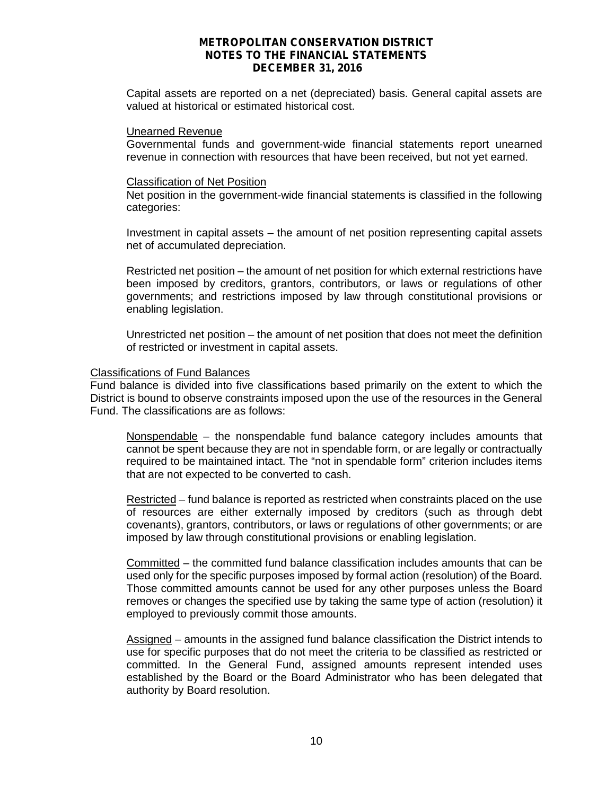Capital assets are reported on a net (depreciated) basis. General capital assets are valued at historical or estimated historical cost.

#### Unearned Revenue

Governmental funds and government-wide financial statements report unearned revenue in connection with resources that have been received, but not yet earned.

#### Classification of Net Position

Net position in the government-wide financial statements is classified in the following categories:

Investment in capital assets – the amount of net position representing capital assets net of accumulated depreciation.

Restricted net position – the amount of net position for which external restrictions have been imposed by creditors, grantors, contributors, or laws or regulations of other governments; and restrictions imposed by law through constitutional provisions or enabling legislation.

Unrestricted net position – the amount of net position that does not meet the definition of restricted or investment in capital assets.

#### Classifications of Fund Balances

Fund balance is divided into five classifications based primarily on the extent to which the District is bound to observe constraints imposed upon the use of the resources in the General Fund. The classifications are as follows:

Nonspendable – the nonspendable fund balance category includes amounts that cannot be spent because they are not in spendable form, or are legally or contractually required to be maintained intact. The "not in spendable form" criterion includes items that are not expected to be converted to cash.

Restricted – fund balance is reported as restricted when constraints placed on the use of resources are either externally imposed by creditors (such as through debt covenants), grantors, contributors, or laws or regulations of other governments; or are imposed by law through constitutional provisions or enabling legislation.

Committed – the committed fund balance classification includes amounts that can be used only for the specific purposes imposed by formal action (resolution) of the Board. Those committed amounts cannot be used for any other purposes unless the Board removes or changes the specified use by taking the same type of action (resolution) it employed to previously commit those amounts.

Assigned – amounts in the assigned fund balance classification the District intends to use for specific purposes that do not meet the criteria to be classified as restricted or committed. In the General Fund, assigned amounts represent intended uses established by the Board or the Board Administrator who has been delegated that authority by Board resolution.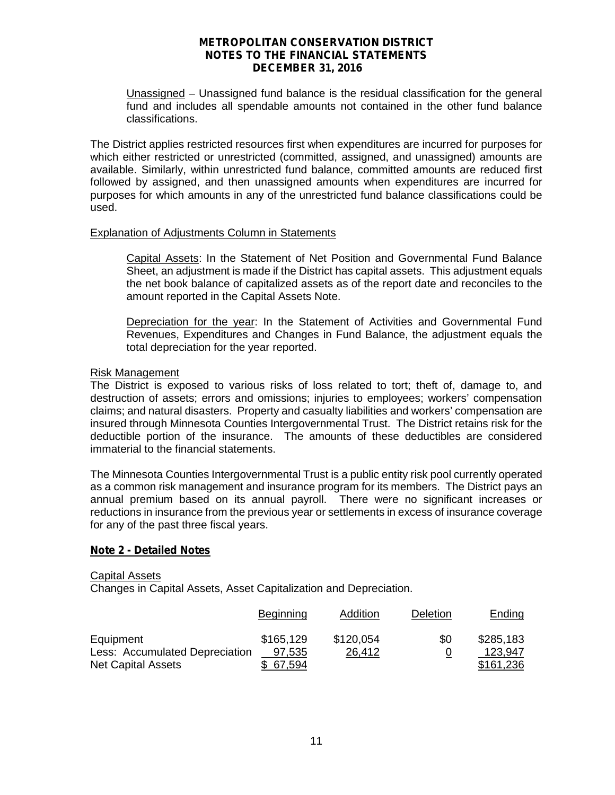Unassigned – Unassigned fund balance is the residual classification for the general fund and includes all spendable amounts not contained in the other fund balance classifications.

The District applies restricted resources first when expenditures are incurred for purposes for which either restricted or unrestricted (committed, assigned, and unassigned) amounts are available. Similarly, within unrestricted fund balance, committed amounts are reduced first followed by assigned, and then unassigned amounts when expenditures are incurred for purposes for which amounts in any of the unrestricted fund balance classifications could be used.

## Explanation of Adjustments Column in Statements

Capital Assets: In the Statement of Net Position and Governmental Fund Balance Sheet, an adjustment is made if the District has capital assets. This adjustment equals the net book balance of capitalized assets as of the report date and reconciles to the amount reported in the Capital Assets Note.

Depreciation for the year: In the Statement of Activities and Governmental Fund Revenues, Expenditures and Changes in Fund Balance, the adjustment equals the total depreciation for the year reported.

## Risk Management

The District is exposed to various risks of loss related to tort; theft of, damage to, and destruction of assets; errors and omissions; injuries to employees; workers' compensation claims; and natural disasters. Property and casualty liabilities and workers' compensation are insured through Minnesota Counties Intergovernmental Trust. The District retains risk for the deductible portion of the insurance. The amounts of these deductibles are considered immaterial to the financial statements.

The Minnesota Counties Intergovernmental Trust is a public entity risk pool currently operated as a common risk management and insurance program for its members. The District pays an annual premium based on its annual payroll. There were no significant increases or reductions in insurance from the previous year or settlements in excess of insurance coverage for any of the past three fiscal years.

## **Note 2 - Detailed Notes**

## Capital Assets

Changes in Capital Assets, Asset Capitalization and Depreciation.

|                                                                          | <b>Beginning</b>                | Addition            | Deletion | Ending                            |  |
|--------------------------------------------------------------------------|---------------------------------|---------------------|----------|-----------------------------------|--|
| Equipment<br>Less: Accumulated Depreciation<br><b>Net Capital Assets</b> | \$165,129<br>97,535<br>\$67,594 | \$120,054<br>26,412 | \$0      | \$285,183<br>123,947<br>\$161,236 |  |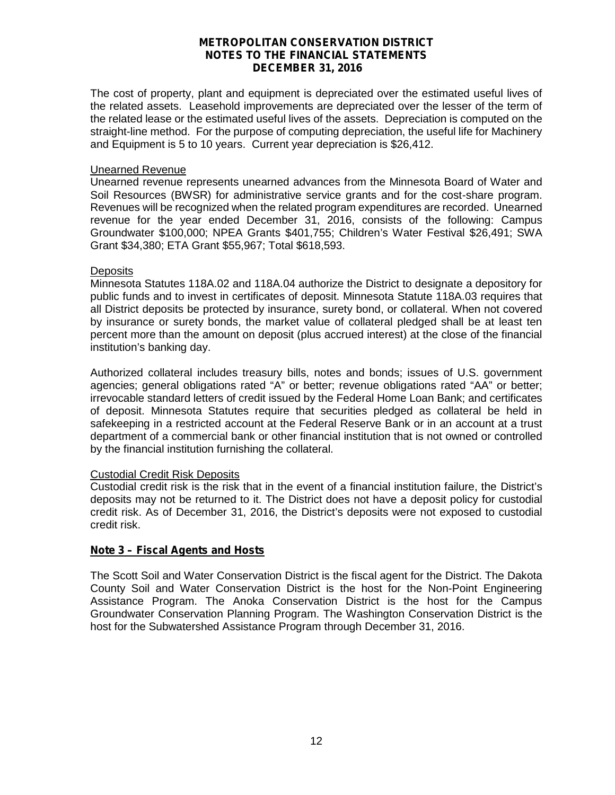The cost of property, plant and equipment is depreciated over the estimated useful lives of the related assets. Leasehold improvements are depreciated over the lesser of the term of the related lease or the estimated useful lives of the assets. Depreciation is computed on the straight-line method. For the purpose of computing depreciation, the useful life for Machinery and Equipment is 5 to 10 years. Current year depreciation is \$26,412.

## Unearned Revenue

Unearned revenue represents unearned advances from the Minnesota Board of Water and Soil Resources (BWSR) for administrative service grants and for the cost-share program. Revenues will be recognized when the related program expenditures are recorded. Unearned revenue for the year ended December 31, 2016, consists of the following: Campus Groundwater \$100,000; NPEA Grants \$401,755; Children's Water Festival \$26,491; SWA Grant \$34,380; ETA Grant \$55,967; Total \$618,593.

## **Deposits**

Minnesota Statutes 118A.02 and 118A.04 authorize the District to designate a depository for public funds and to invest in certificates of deposit. Minnesota Statute 118A.03 requires that all District deposits be protected by insurance, surety bond, or collateral. When not covered by insurance or surety bonds, the market value of collateral pledged shall be at least ten percent more than the amount on deposit (plus accrued interest) at the close of the financial institution's banking day.

Authorized collateral includes treasury bills, notes and bonds; issues of U.S. government agencies; general obligations rated "A" or better; revenue obligations rated "AA" or better; irrevocable standard letters of credit issued by the Federal Home Loan Bank; and certificates of deposit. Minnesota Statutes require that securities pledged as collateral be held in safekeeping in a restricted account at the Federal Reserve Bank or in an account at a trust department of a commercial bank or other financial institution that is not owned or controlled by the financial institution furnishing the collateral.

## Custodial Credit Risk Deposits

Custodial credit risk is the risk that in the event of a financial institution failure, the District's deposits may not be returned to it. The District does not have a deposit policy for custodial credit risk. As of December 31, 2016, the District's deposits were not exposed to custodial credit risk.

## **Note 3 – Fiscal Agents and Hosts**

The Scott Soil and Water Conservation District is the fiscal agent for the District. The Dakota County Soil and Water Conservation District is the host for the Non-Point Engineering Assistance Program. The Anoka Conservation District is the host for the Campus Groundwater Conservation Planning Program. The Washington Conservation District is the host for the Subwatershed Assistance Program through December 31, 2016.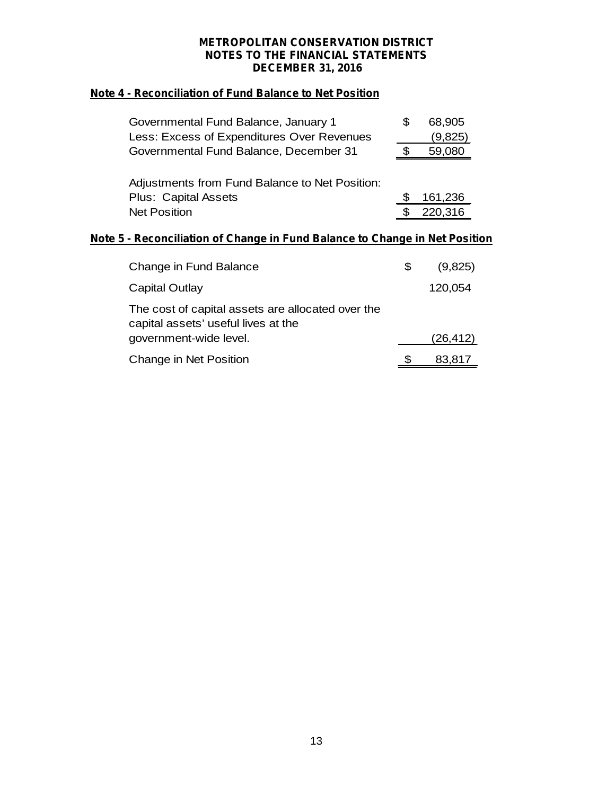## **Note 4 - Reconciliation of Fund Balance to Net Position**

| Governmental Fund Balance, January 1<br>Less: Excess of Expenditures Over Revenues                                 | \$             | 68,905<br>(9,825) |
|--------------------------------------------------------------------------------------------------------------------|----------------|-------------------|
| Governmental Fund Balance, December 31                                                                             | $\mathfrak{F}$ | 59,080            |
| Adjustments from Fund Balance to Net Position:                                                                     |                |                   |
| <b>Plus: Capital Assets</b>                                                                                        | \$             | 161,236           |
| <b>Net Position</b>                                                                                                | \$             | 220,316           |
| Note 5 - Reconciliation of Change in Fund Balance to Change in Net Position<br>Change in Fund Balance              | \$             | (9,825)           |
| Capital Outlay                                                                                                     |                | 120,054           |
| The cost of capital assets are allocated over the<br>capital assets' useful lives at the<br>government-wide level. |                | (26,412)          |
| Change in Net Position                                                                                             | \$             | 83,817            |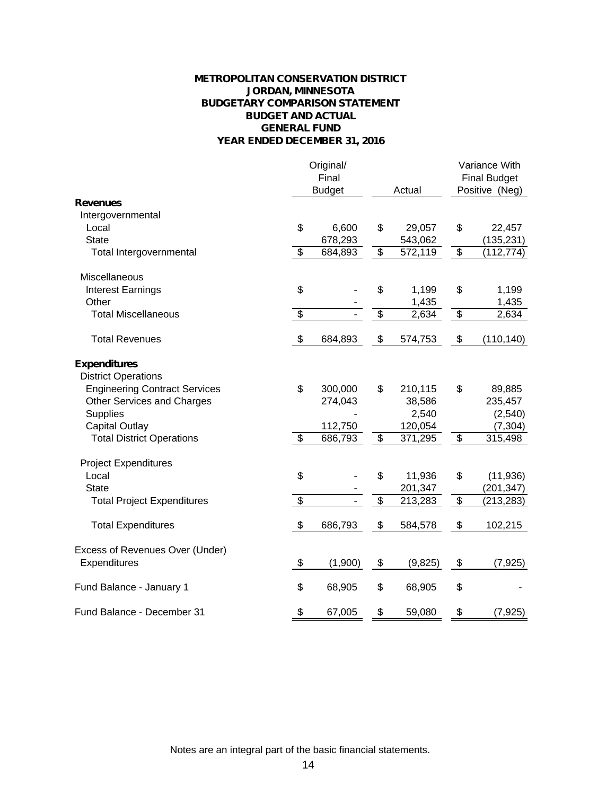## **METROPOLITAN CONSERVATION DISTRICT JORDAN, MINNESOTA BUDGETARY COMPARISON STATEMENT BUDGET AND ACTUAL GENERAL FUND YEAR ENDED DECEMBER 31, 2016**

|                                                   | Original/<br>Final       |               |                         |         |                         | Variance With<br><b>Final Budget</b> |
|---------------------------------------------------|--------------------------|---------------|-------------------------|---------|-------------------------|--------------------------------------|
|                                                   |                          | <b>Budget</b> |                         | Actual  |                         | Positive (Neg)                       |
| <b>Revenues</b>                                   |                          |               |                         |         |                         |                                      |
| Intergovernmental                                 |                          |               |                         |         |                         |                                      |
| Local                                             | \$                       | 6,600         | \$                      | 29,057  | \$                      | 22,457                               |
| <b>State</b>                                      |                          | 678,293       |                         | 543,062 |                         | (135, 231)                           |
| Total Intergovernmental                           | $\overline{\mathcal{G}}$ | 684,893       | $\overline{\mathbf{e}}$ | 572,119 | $\overline{\mathbf{e}}$ | (112, 774)                           |
| Miscellaneous                                     |                          |               |                         |         |                         |                                      |
| <b>Interest Earnings</b>                          | \$                       |               | \$                      | 1,199   | \$                      | 1,199                                |
| Other                                             |                          |               |                         | 1,435   |                         | 1,435                                |
| <b>Total Miscellaneous</b>                        | $\overline{\mathbf{e}}$  |               | $\overline{\mathbf{S}}$ | 2,634   | $\boldsymbol{\$}$       | 2,634                                |
| <b>Total Revenues</b>                             | \$                       | 684,893       | \$                      | 574,753 | \$                      | (110, 140)                           |
| <b>Expenditures</b><br><b>District Operations</b> |                          |               |                         |         |                         |                                      |
| <b>Engineering Contract Services</b>              | \$                       | 300,000       | \$                      | 210,115 | \$                      | 89,885                               |
| Other Services and Charges                        |                          | 274,043       |                         | 38,586  |                         | 235,457                              |
| <b>Supplies</b>                                   |                          |               |                         | 2,540   |                         | (2,540)                              |
| <b>Capital Outlay</b>                             |                          | 112,750       |                         | 120,054 |                         | (7, 304)                             |
| <b>Total District Operations</b>                  | $\overline{\$}$          | 686,793       | $\overline{\$}$         | 371,295 | $\overline{\$}$         | 315,498                              |
| <b>Project Expenditures</b>                       |                          |               |                         |         |                         |                                      |
| Local                                             | \$                       |               | \$                      | 11,936  | \$                      | (11,936)                             |
| <b>State</b>                                      |                          |               |                         | 201,347 |                         | (201, 347)                           |
| <b>Total Project Expenditures</b>                 | $\overline{\$}$          |               | $\overline{\$}$         | 213,283 | $\overline{\$}$         | (213, 283)                           |
|                                                   |                          |               |                         |         |                         |                                      |
| <b>Total Expenditures</b>                         | \$                       | 686,793       | \$                      | 584,578 | \$                      | 102,215                              |
| Excess of Revenues Over (Under)<br>Expenditures   | \$                       | (1,900)       | \$                      | (9,825) | \$                      | (7, 925)                             |
|                                                   |                          |               |                         |         |                         |                                      |
| Fund Balance - January 1                          | \$                       | 68,905        | \$                      | 68,905  | \$                      |                                      |
| Fund Balance - December 31                        | \$                       | 67,005        | \$                      | 59,080  | \$                      | (7, 925)                             |

Notes are an integral part of the basic financial statements.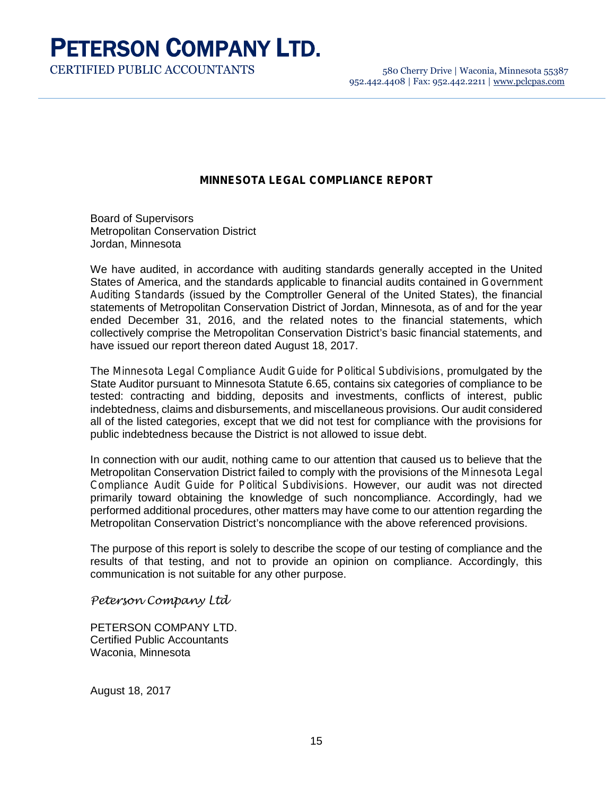# **PETERSON COMPANY LTD.**

## **MINNESOTA LEGAL COMPLIANCE REPORT**

Board of Supervisors Metropolitan Conservation District Jordan, Minnesota

We have audited, in accordance with auditing standards generally accepted in the United States of America, and the standards applicable to financial audits contained in *Government Auditing Standards* (issued by the Comptroller General of the United States), the financial statements of Metropolitan Conservation District of Jordan, Minnesota, as of and for the year ended December 31, 2016, and the related notes to the financial statements, which collectively comprise the Metropolitan Conservation District's basic financial statements, and have issued our report thereon dated August 18, 2017.

The *Minnesota Legal Compliance Audit Guide for Political Subdivisions*, promulgated by the State Auditor pursuant to Minnesota Statute 6.65, contains six categories of compliance to be tested: contracting and bidding, deposits and investments, conflicts of interest, public indebtedness, claims and disbursements, and miscellaneous provisions. Our audit considered all of the listed categories, except that we did not test for compliance with the provisions for public indebtedness because the District is not allowed to issue debt.

In connection with our audit, nothing came to our attention that caused us to believe that the Metropolitan Conservation District failed to comply with the provisions of the *Minnesota Legal Compliance Audit Guide for Political Subdivisions*. However, our audit was not directed primarily toward obtaining the knowledge of such noncompliance. Accordingly, had we performed additional procedures, other matters may have come to our attention regarding the Metropolitan Conservation District's noncompliance with the above referenced provisions.

The purpose of this report is solely to describe the scope of our testing of compliance and the results of that testing, and not to provide an opinion on compliance. Accordingly, this communication is not suitable for any other purpose.

Peterson Company Ltd

PETERSON COMPANY LTD. Certified Public Accountants Waconia, Minnesota

August 18, 2017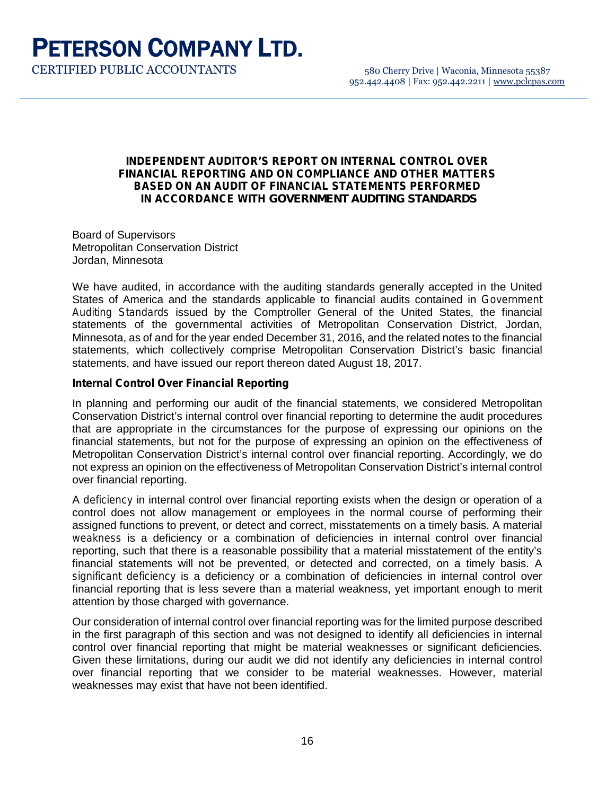# **PETERSON COMPANY LTD.**

## **INDEPENDENT AUDITOR'S REPORT ON INTERNAL CONTROL OVER FINANCIAL REPORTING AND ON COMPLIANCE AND OTHER MATTERS BASED ON AN AUDIT OF FINANCIAL STATEMENTS PERFORMED IN ACCORDANCE WITH** *GOVERNMENT AUDITING STANDARDS*

Board of Supervisors Metropolitan Conservation District Jordan, Minnesota

We have audited, in accordance with the auditing standards generally accepted in the United States of America and the standards applicable to financial audits contained in *Government Auditing Standards* issued by the Comptroller General of the United States, the financial statements of the governmental activities of Metropolitan Conservation District, Jordan, Minnesota, as of and for the year ended December 31, 2016, and the related notes to the financial statements, which collectively comprise Metropolitan Conservation District's basic financial statements, and have issued our report thereon dated August 18, 2017.

## **Internal Control Over Financial Reporting**

In planning and performing our audit of the financial statements, we considered Metropolitan Conservation District's internal control over financial reporting to determine the audit procedures that are appropriate in the circumstances for the purpose of expressing our opinions on the financial statements, but not for the purpose of expressing an opinion on the effectiveness of Metropolitan Conservation District's internal control over financial reporting. Accordingly, we do not express an opinion on the effectiveness of Metropolitan Conservation District's internal control over financial reporting.

A *deficiency* in internal control over financial reporting exists when the design or operation of a control does not allow management or employees in the normal course of performing their assigned functions to prevent, or detect and correct, misstatements on a timely basis. A material *weakness* is a deficiency or a combination of deficiencies in internal control over financial reporting, such that there is a reasonable possibility that a material misstatement of the entity's financial statements will not be prevented, or detected and corrected, on a timely basis. A *significant deficiency* is a deficiency or a combination of deficiencies in internal control over financial reporting that is less severe than a material weakness, yet important enough to merit attention by those charged with governance.

Our consideration of internal control over financial reporting was for the limited purpose described in the first paragraph of this section and was not designed to identify all deficiencies in internal control over financial reporting that might be material weaknesses or significant deficiencies. Given these limitations, during our audit we did not identify any deficiencies in internal control over financial reporting that we consider to be material weaknesses. However, material weaknesses may exist that have not been identified.